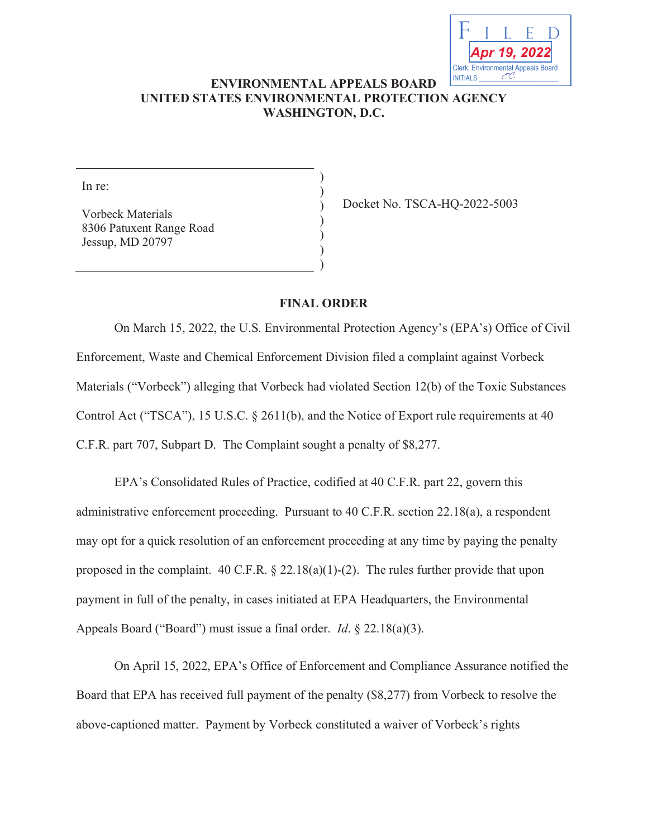

## **ENVIRONMENTAL APPEALS BOARD UNITED STATES ENVIRONMENTAL PROTECTION AGENCY WASHINGTON, D.C.**

) ) ) ) ) ) )

In re:

Vorbeck Materials 8306 Patuxent Range Road Jessup, MD 20797

Docket No. TSCA-HQ-2022-5003

## **FINAL ORDER**

On March 15, 2022, the U.S. Environmental Protection Agency's (EPA's) Office of Civil Enforcement, Waste and Chemical Enforcement Division filed a complaint against Vorbeck Materials ("Vorbeck") alleging that Vorbeck had violated Section 12(b) of the Toxic Substances Control Act ("TSCA"), 15 U.S.C. § 2611(b), and the Notice of Export rule requirements at 40 C.F.R. part 707, Subpart D. The Complaint sought a penalty of \$8,277.

EPA's Consolidated Rules of Practice, codified at 40 C.F.R. part 22, govern this administrative enforcement proceeding. Pursuant to 40 C.F.R. section 22.18(a), a respondent may opt for a quick resolution of an enforcement proceeding at any time by paying the penalty proposed in the complaint. 40 C.F.R. § 22.18(a)(1)-(2). The rules further provide that upon payment in full of the penalty, in cases initiated at EPA Headquarters, the Environmental Appeals Board ("Board") must issue a final order. *Id*. § 22.18(a)(3).

On April 15, 2022, EPA's Office of Enforcement and Compliance Assurance notified the Board that EPA has received full payment of the penalty (\$8,277) from Vorbeck to resolve the above-captioned matter. Payment by Vorbeck constituted a waiver of Vorbeck's rights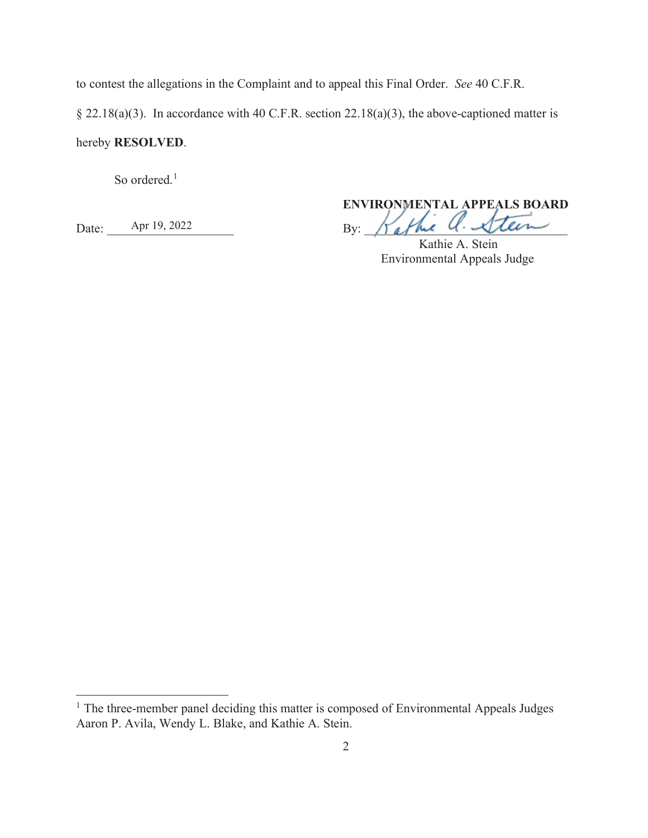to contest the allegations in the Complaint and to appeal this Final Order. *See* 40 C.F.R.

§ 22.18(a)(3). In accordance with 40 C.F.R. section 22.18(a)(3), the above-captioned matter is

hereby **RESOLVED**.

So ordered.<sup>1</sup>

**ENVIRONMENTAL APPEALS BOARD VIRONMENTAL BOAR** Date: Apr 19, 2022 By:  $\pi$  By:  $\pi$  affine  $U \cdot \mathcal{L}$ lein Tattue U. Silen

Kathie A. Stein Environmental Appeals Judge

<sup>&</sup>lt;sup>1</sup> The three-member panel deciding this matter is composed of Environmental Appeals Judges Aaron P. Avila, Wendy L. Blake, and Kathie A. Stein.